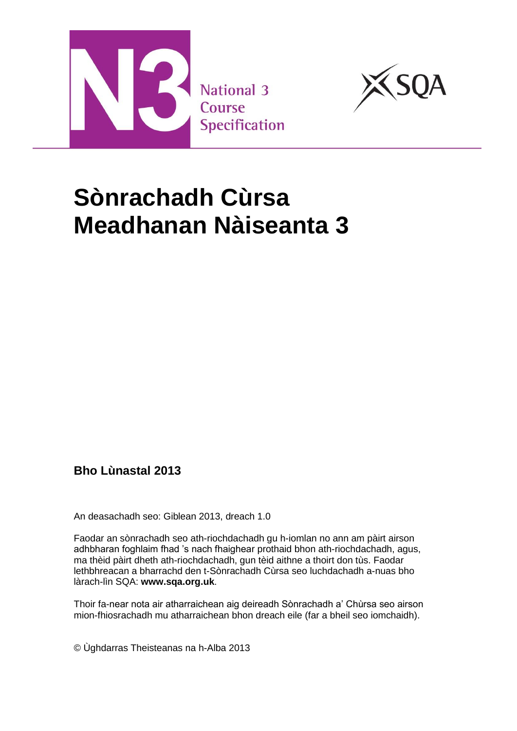



# **Sònrachadh Cùrsa Meadhanan Nàiseanta 3**

### **Bho Lùnastal 2013**

An deasachadh seo: Giblean 2013, dreach 1.0

Faodar an sònrachadh seo ath-riochdachadh gu h-iomlan no ann am pàirt airson adhbharan foghlaim fhad 's nach fhaighear prothaid bhon ath-riochdachadh, agus, ma thèid pàirt dheth ath-riochdachadh, gun tèid aithne a thoirt don tùs. Faodar lethbhreacan a bharrachd den t-Sònrachadh Cùrsa seo luchdachadh a-nuas bho làrach-lìn SQA: **[www.sqa.org.uk](http://www.sqa.org.uk/)**.

Thoir fa-near nota air atharraichean aig deireadh Sònrachadh a' Chùrsa seo airson mion-fhiosrachadh mu atharraichean bhon dreach eile (far a bheil seo iomchaidh).

© Ùghdarras Theisteanas na h-Alba 2013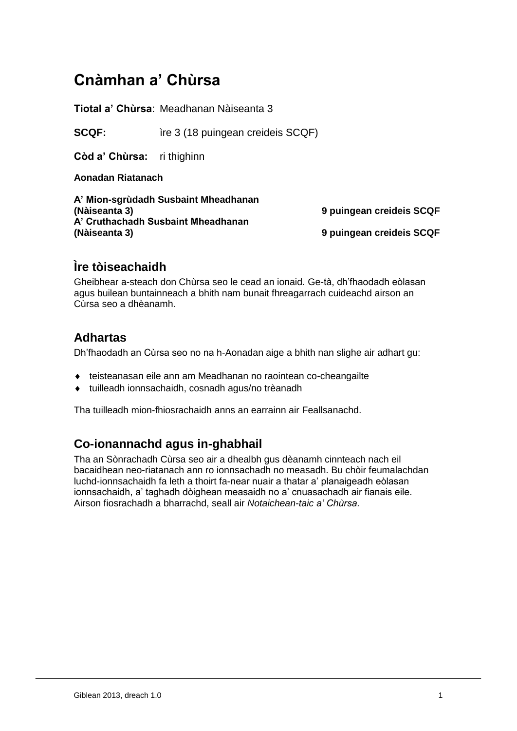# **Cnàmhan a' Chùrsa**

**Tiotal a' Chùrsa**: Meadhanan Nàiseanta 3

**SCQF:** ire 3 (18 puingean creideis SCQF)

**Còd a' Chùrsa:** ri thighinn

**Aonadan Riatanach**

**A' Mion-sgrùdadh Susbaint Mheadhanan (Nàiseanta 3) 9 puingean creideis SCQF A' Cruthachadh Susbaint Mheadhanan** 

**9 puingean creideis SCQF** 

### **Ìre tòiseachaidh**

Gheibhear a-steach don Chùrsa seo le cead an ionaid. Ge-tà, dh'fhaodadh eòlasan agus builean buntainneach a bhith nam bunait fhreagarrach cuideachd airson an Cùrsa seo a dhèanamh.

#### **Adhartas**

Dh'fhaodadh an Cùrsa seo no na h-Aonadan aige a bhith nan slighe air adhart gu:

- teisteanasan eile ann am Meadhanan no raointean co-cheangailte
- tuilleadh ionnsachaidh, cosnadh agus/no trèanadh

Tha tuilleadh mion-fhiosrachaidh anns an earrainn air Feallsanachd.

### **Co-ionannachd agus in-ghabhail**

Tha an Sònrachadh Cùrsa seo air a dhealbh gus dèanamh cinnteach nach eil bacaidhean neo-riatanach ann ro ionnsachadh no measadh. Bu chòir feumalachdan luchd-ionnsachaidh fa leth a thoirt fa-near nuair a thatar a' planaigeadh eòlasan ionnsachaidh, a' taghadh dòighean measaidh no a' cnuasachadh air fianais eile. Airson fiosrachadh a bharrachd, seall air *Notaichean-taic a' Chùrsa.*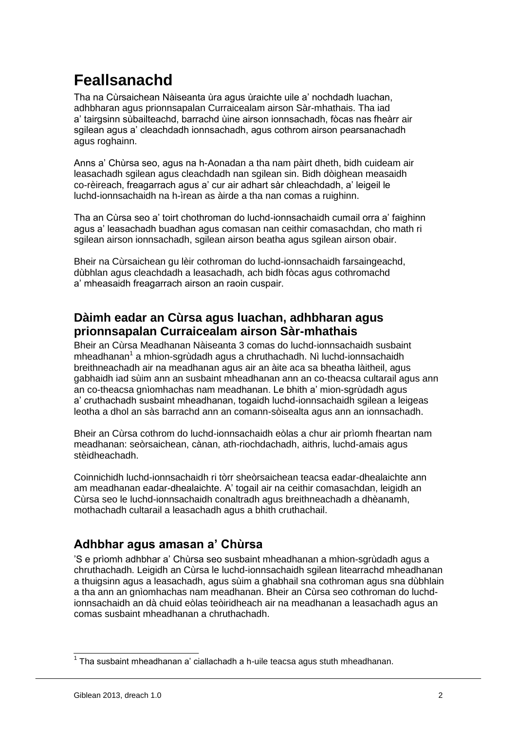# **Feallsanachd**

Tha na Cùrsaichean Nàiseanta ùra agus ùraichte uile a' nochdadh luachan, adhbharan agus prionnsapalan Curraicealam airson Sàr-mhathais. Tha iad a' tairgsinn sùbailteachd, barrachd ùine airson ionnsachadh, fòcas nas fheàrr air sgilean agus a' cleachdadh ionnsachadh, agus cothrom airson pearsanachadh agus roghainn.

Anns a' Chùrsa seo, agus na h-Aonadan a tha nam pàirt dheth, bidh cuideam air leasachadh sgilean agus cleachdadh nan sgilean sin. Bidh dòighean measaidh co-rèireach, freagarrach agus a' cur air adhart sàr chleachdadh, a' leigeil le luchd-ionnsachaidh na h-ìrean as àirde a tha nan comas a ruighinn.

Tha an Cùrsa seo a' toirt chothroman do luchd-ionnsachaidh cumail orra a' faighinn agus a' leasachadh buadhan agus comasan nan ceithir comasachdan, cho math ri sgilean airson ionnsachadh, sgilean airson beatha agus sgilean airson obair.

Bheir na Cùrsaichean gu lèir cothroman do luchd-ionnsachaidh farsaingeachd, dùbhlan agus cleachdadh a leasachadh, ach bidh fòcas agus cothromachd a' mheasaidh freagarrach airson an raoin cuspair.

#### **Dàimh eadar an Cùrsa agus luachan, adhbharan agus prionnsapalan Curraicealam airson Sàr-mhathais**

Bheir an Cùrsa Meadhanan Nàiseanta 3 comas do luchd-ionnsachaidh susbaint mheadhanan<sup>1</sup> a mhion-sgrùdadh agus a chruthachadh. Nì luchd-ionnsachaidh breithneachadh air na meadhanan agus air an àite aca sa bheatha làitheil, agus gabhaidh iad sùim ann an susbaint mheadhanan ann an co-theacsa cultarail agus ann an co-theacsa gnìomhachas nam meadhanan. Le bhith a' mion-sgrùdadh agus a' cruthachadh susbaint mheadhanan, togaidh luchd-ionnsachaidh sgilean a leigeas leotha a dhol an sàs barrachd ann an comann-sòisealta agus ann an ionnsachadh.

Bheir an Cùrsa cothrom do luchd-ionnsachaidh eòlas a chur air prìomh fheartan nam meadhanan: seòrsaichean, cànan, ath-riochdachadh, aithris, luchd-amais agus stèidheachadh.

Coinnichidh luchd-ionnsachaidh ri tòrr sheòrsaichean teacsa eadar-dhealaichte ann am meadhanan eadar-dhealaichte. A' togail air na ceithir comasachdan, leigidh an Cùrsa seo le luchd-ionnsachaidh conaltradh agus breithneachadh a dhèanamh, mothachadh cultarail a leasachadh agus a bhith cruthachail.

### **Adhbhar agus amasan a' Chùrsa**

'S e prìomh adhbhar a' Chùrsa seo susbaint mheadhanan a mhion-sgrùdadh agus a chruthachadh. Leigidh an Cùrsa le luchd-ionnsachaidh sgilean litearrachd mheadhanan a thuigsinn agus a leasachadh, agus sùim a ghabhail sna cothroman agus sna dùbhlain a tha ann an gnìomhachas nam meadhanan. Bheir an Cùrsa seo cothroman do luchdionnsachaidh an dà chuid eòlas teòiridheach air na meadhanan a leasachadh agus an comas susbaint mheadhanan a chruthachadh.

 $1$  Tha susbaint mheadhanan a' ciallachadh a h-uile teacsa agus stuth mheadhanan.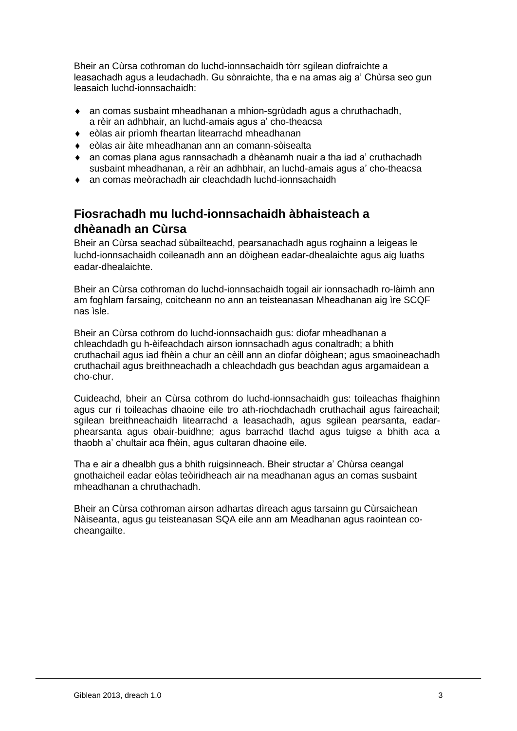Bheir an Cùrsa cothroman do luchd-ionnsachaidh tòrr sgilean diofraichte a leasachadh agus a leudachadh. Gu sònraichte, tha e na amas aig a' Chùrsa seo gun leasaich luchd-ionnsachaidh:

- an comas susbaint mheadhanan a mhion-sgrùdadh agus a chruthachadh, a rèir an adhbhair, an luchd-amais agus a' cho-theacsa
- eòlas air prìomh fheartan litearrachd mheadhanan
- eòlas air àite mheadhanan ann an comann-sòisealta
- an comas plana agus rannsachadh a dhèanamh nuair a tha iad a' cruthachadh susbaint mheadhanan, a rèir an adhbhair, an luchd-amais agus a' cho-theacsa
- ◆ an comas meòrachadh air cleachdadh luchd-ionnsachaidh

### **Fiosrachadh mu luchd-ionnsachaidh àbhaisteach a dhèanadh an Cùrsa**

Bheir an Cùrsa seachad sùbailteachd, pearsanachadh agus roghainn a leigeas le luchd-ionnsachaidh coileanadh ann an dòighean eadar-dhealaichte agus aig luaths eadar-dhealaichte.

Bheir an Cùrsa cothroman do luchd-ionnsachaidh togail air ionnsachadh ro-làimh ann am foghlam farsaing, coitcheann no ann an teisteanasan Mheadhanan aig ìre SCQF nas ìsle.

Bheir an Cùrsa cothrom do luchd-ionnsachaidh gus: diofar mheadhanan a chleachdadh gu h-èifeachdach airson ionnsachadh agus conaltradh; a bhith cruthachail agus iad fhèin a chur an cèill ann an diofar dòighean; agus smaoineachadh cruthachail agus breithneachadh a chleachdadh gus beachdan agus argamaidean a cho-chur.

Cuideachd, bheir an Cùrsa cothrom do luchd-ionnsachaidh gus: toileachas fhaighinn agus cur ri toileachas dhaoine eile tro ath-riochdachadh cruthachail agus faireachail; sgilean breithneachaidh litearrachd a leasachadh, agus sgilean pearsanta, eadarphearsanta agus obair-buidhne; agus barrachd tlachd agus tuigse a bhith aca a thaobh a' chultair aca fhèin, agus cultaran dhaoine eile.

Tha e air a dhealbh gus a bhith ruigsinneach. Bheir structar a' Chùrsa ceangal gnothaicheil eadar eòlas teòiridheach air na meadhanan agus an comas susbaint mheadhanan a chruthachadh.

Bheir an Cùrsa cothroman airson adhartas dìreach agus tarsainn gu Cùrsaichean Nàiseanta, agus gu teisteanasan SQA eile ann am Meadhanan agus raointean cocheangailte.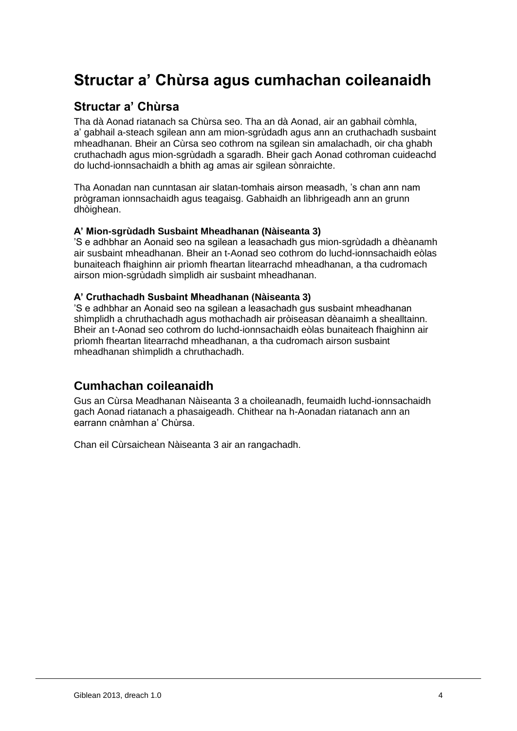# **Structar a' Chùrsa agus cumhachan coileanaidh**

#### **Structar a' Chùrsa**

Tha dà Aonad riatanach sa Chùrsa seo. Tha an dà Aonad, air an gabhail còmhla, a' gabhail a-steach sgilean ann am mion-sgrùdadh agus ann an cruthachadh susbaint mheadhanan. Bheir an Cùrsa seo cothrom na sgilean sin amalachadh, oir cha ghabh cruthachadh agus mion-sgrùdadh a sgaradh. Bheir gach Aonad cothroman cuideachd do luchd-ionnsachaidh a bhith ag amas air sgilean sònraichte.

Tha Aonadan nan cunntasan air slatan-tomhais airson measadh, 's chan ann nam prògraman ionnsachaidh agus teagaisg. Gabhaidh an lìbhrigeadh ann an grunn dhòighean.

#### **A' Mion-sgrùdadh Susbaint Mheadhanan (Nàiseanta 3)**

'S e adhbhar an Aonaid seo na sgilean a leasachadh gus mion-sgrùdadh a dhèanamh air susbaint mheadhanan. Bheir an t-Aonad seo cothrom do luchd-ionnsachaidh eòlas bunaiteach fhaighinn air prìomh fheartan litearrachd mheadhanan, a tha cudromach airson mion-sgrùdadh sìmplidh air susbaint mheadhanan.

#### **A' Cruthachadh Susbaint Mheadhanan (Nàiseanta 3)**

'S e adhbhar an Aonaid seo na sgilean a leasachadh gus susbaint mheadhanan shìmplidh a chruthachadh agus mothachadh air pròiseasan dèanaimh a shealltainn. Bheir an t-Aonad seo cothrom do luchd-ionnsachaidh eòlas bunaiteach fhaighinn air prìomh fheartan litearrachd mheadhanan, a tha cudromach airson susbaint mheadhanan shìmplidh a chruthachadh.

#### **Cumhachan coileanaidh**

Gus an Cùrsa Meadhanan Nàiseanta 3 a choileanadh, feumaidh luchd-ionnsachaidh gach Aonad riatanach a phasaigeadh. Chithear na h-Aonadan riatanach ann an earrann cnàmhan a' Chùrsa.

Chan eil Cùrsaichean Nàiseanta 3 air an rangachadh.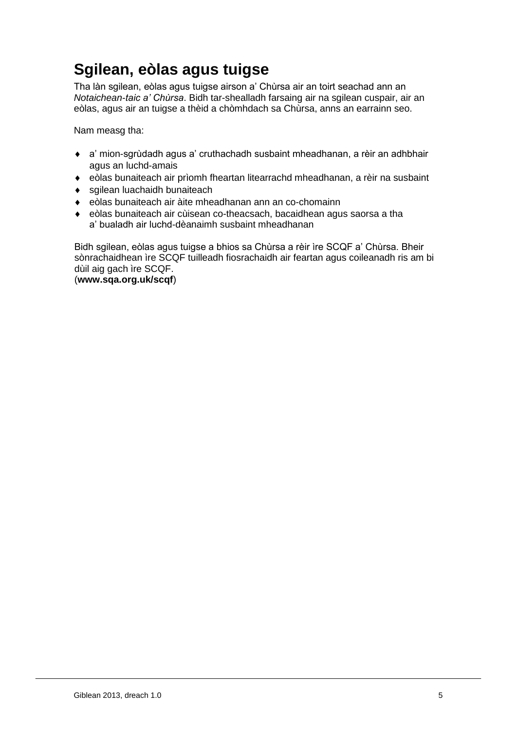# **Sgilean, eòlas agus tuigse**

Tha làn sgilean, eòlas agus tuigse airson a' Chùrsa air an toirt seachad ann an *Notaichean-taic a' Chùrsa*. Bidh tar-shealladh farsaing air na sgilean cuspair, air an eòlas, agus air an tuigse a thèid a chòmhdach sa Chùrsa, anns an earrainn seo.

Nam measg tha:

- a' mion-sgrùdadh agus a' cruthachadh susbaint mheadhanan, a rèir an adhbhair agus an luchd-amais
- eòlas bunaiteach air prìomh fheartan litearrachd mheadhanan, a rèir na susbaint
- sgilean luachaidh bunaiteach
- eòlas bunaiteach air àite mheadhanan ann an co-chomainn
- eòlas bunaiteach air cùisean co-theacsach, bacaidhean agus saorsa a tha a' bualadh air luchd-dèanaimh susbaint mheadhanan

Bidh sgilean, eòlas agus tuigse a bhios sa Chùrsa a rèir ìre SCQF a' Chùrsa. Bheir sònrachaidhean ìre SCQF tuilleadh fiosrachaidh air feartan agus coileanadh ris am bi dùil aig gach ìre SCQF.

(**[www.sqa.org.uk/scqf](http://www.sqa.org.uk/sqa/4595.html)**)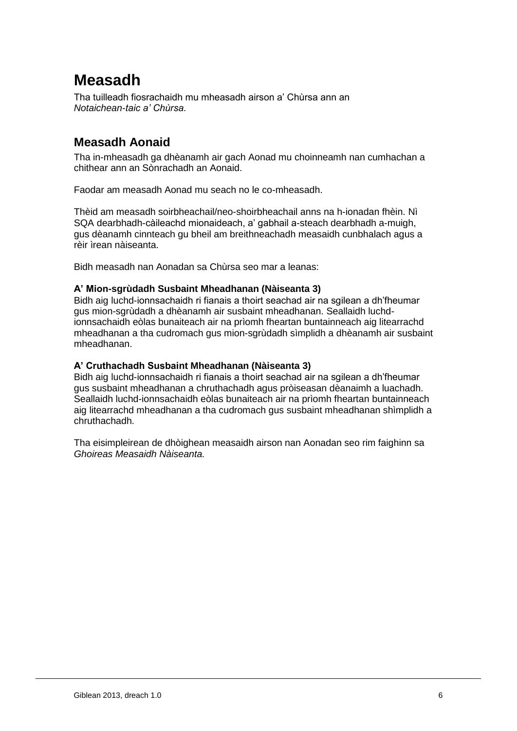# **Measadh**

Tha tuilleadh fiosrachaidh mu mheasadh airson a' Chùrsa ann an *Notaichean-taic a' Chùrsa.*

### **Measadh Aonaid**

Tha in-mheasadh ga dhèanamh air gach Aonad mu choinneamh nan cumhachan a chithear ann an Sònrachadh an Aonaid.

Faodar am measadh Aonad mu seach no le co-mheasadh.

Thèid am measadh soirbheachail/neo-shoirbheachail anns na h-ionadan fhèin. Nì SQA dearbhadh-càileachd mionaideach, a' gabhail a-steach dearbhadh a-muigh, gus dèanamh cinnteach gu bheil am breithneachadh measaidh cunbhalach agus a rèir ìrean nàiseanta.

Bidh measadh nan Aonadan sa Chùrsa seo mar a leanas:

#### **A' Mion-sgrùdadh Susbaint Mheadhanan (Nàiseanta 3)**

Bidh aig luchd-ionnsachaidh ri fianais a thoirt seachad air na sgilean a dh'fheumar gus mion-sgrùdadh a dhèanamh air susbaint mheadhanan. Seallaidh luchdionnsachaidh eòlas bunaiteach air na prìomh fheartan buntainneach aig litearrachd mheadhanan a tha cudromach gus mion-sgrùdadh sìmplidh a dhèanamh air susbaint mheadhanan.

#### **A' Cruthachadh Susbaint Mheadhanan (Nàiseanta 3)**

Bidh aig luchd-ionnsachaidh ri fianais a thoirt seachad air na sgilean a dh'fheumar gus susbaint mheadhanan a chruthachadh agus pròiseasan dèanaimh a luachadh. Seallaidh luchd-ionnsachaidh eòlas bunaiteach air na prìomh fheartan buntainneach aig litearrachd mheadhanan a tha cudromach gus susbaint mheadhanan shìmplidh a chruthachadh.

Tha eisimpleirean de dhòighean measaidh airson nan Aonadan seo rim faighinn sa *Ghoireas Measaidh Nàiseanta.*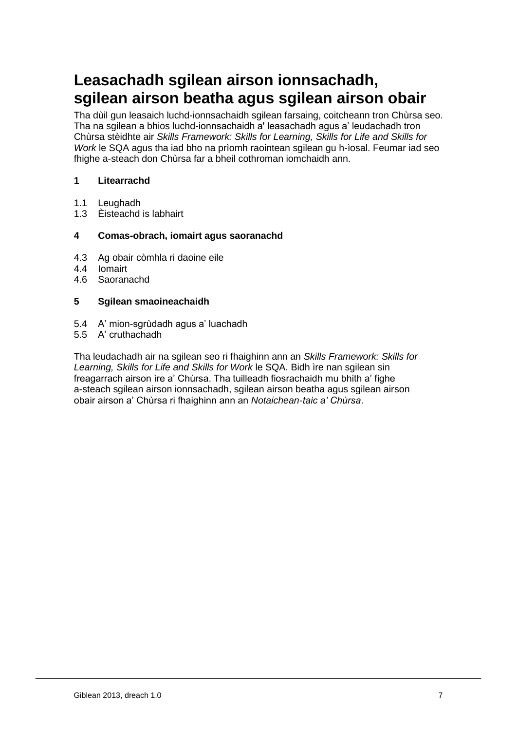# **Leasachadh sgilean airson ionnsachadh, sgilean airson beatha agus sgilean airson obair**

Tha dùil gun leasaich luchd-ionnsachaidh sgilean farsaing, coitcheann tron Chùrsa seo. Tha na sgilean a bhios luchd-ionnsachaidh a' leasachadh agus a' leudachadh tron Chùrsa stèidhte air *Skills Framework: Skills for Learning, Skills for Life and Skills for Work* le SQA agus tha iad bho na prìomh raointean sgilean gu h-ìosal. Feumar iad seo fhighe a-steach don Chùrsa far a bheil cothroman iomchaidh ann.

#### **1 Litearrachd**

- 1.1 Leughadh<br>1.3 Èisteachd
- Èisteachd is labhairt

#### **4 Comas-obrach, iomairt agus saoranachd**

- 4.3 Ag obair còmhla ri daoine eile
- 4.4 Iomairt
- 4.6 Saoranachd

#### **5 Sgilean smaoineachaidh**

- 5.4 A' mion-sgrùdadh agus a' luachadh
- 5.5 A' cruthachadh

Tha leudachadh air na sgilean seo ri fhaighinn ann an *Skills Framework: Skills for Learning, Skills for Life and Skills for Work* le SQA. Bidh ìre nan sgilean sin freagarrach airson ìre a' Chùrsa. Tha tuilleadh fiosrachaidh mu bhith a' fighe a-steach sgilean airson ionnsachadh, sgilean airson beatha agus sgilean airson obair airson a' Chùrsa ri fhaighinn ann an *Notaichean-taic a' Chùrsa*.